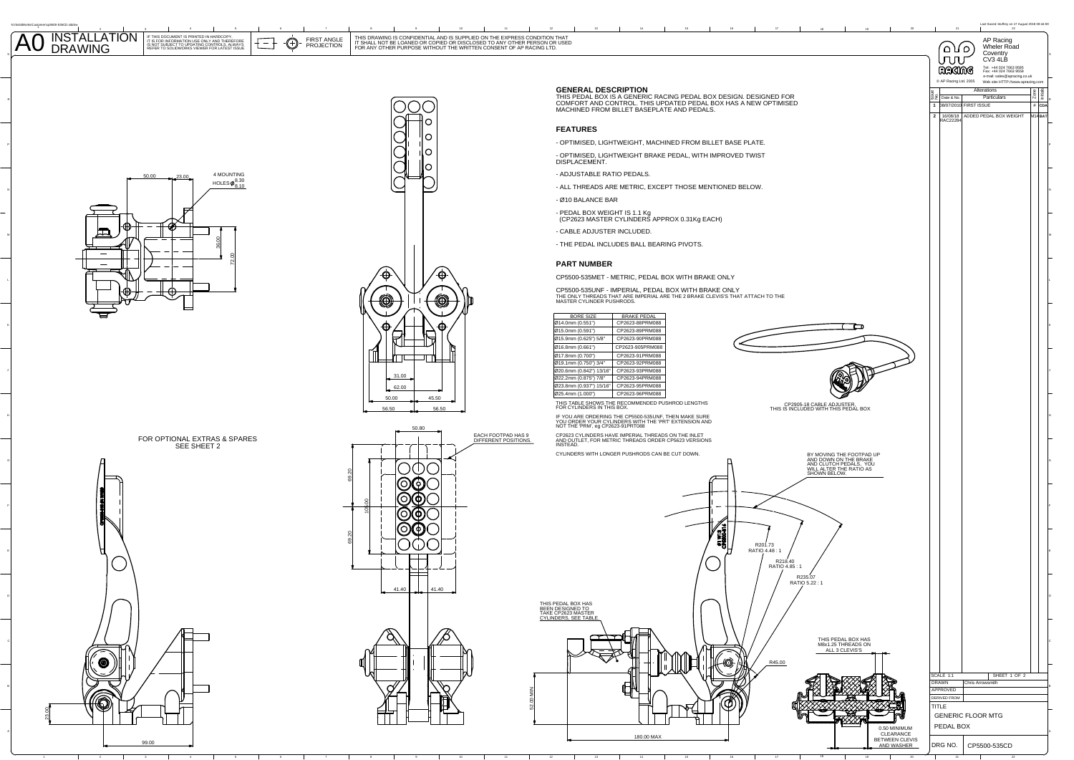

N:\SolidWorks\Customer\cp5500-535CD.slddrw

L





FIRST ANGLE PROJECTION

 $\overline{1}$ 

 $-\overline{(\widehat{+})}$ 

**GENERAL DESCRIPTION**<br>THIS PEDAL **DESCRIPTION**<br>COMFORT AND CONTROL. THIS UPDATED PEDAL BOX HAS A NEW OPTIMISED<br>MACHINED FROM BILLET BASEPLATE AND PEDALS.

## **FEATURES**

Last Saved: btuffrey on 17 August 2018 08:44:59

THIS DRAWING IS CONFIDENTIAL AND IS SUPPLIED ON THE EXPRESS CONDITION THATIT SHALL NOT BE LOANED OR COPIED OR DISCLOSED TO ANY OTHER PERSON OR USED<br>FOR ANY OTHER PURPOSE WITHOUT THE WRITTEN CONSENT OF AP RACING LTD.

<sup>3</sup> <sup>4</sup> <sup>5</sup> <sup>6</sup> <sup>7</sup> <sup>8</sup> <sup>9</sup> <sup>10</sup> <sup>11</sup> <sup>12</sup> <sup>13</sup> <sup>14</sup> <sup>15</sup> <sup>16</sup> <sup>1</sup> <sup>17</sup> <sup>18</sup>

 $\Omega$ l٥ l٥

- OPTIMISED, LIGHTWEIGHT, MACHINED FROM BILLET BASE PLATE.

- OPTIMISED, LIGHTWEIGHT BRAKE PEDAL, WITH IMPROVED TWIST DISPLACEMENT.

- ADJUSTABLE RATIO PEDALS.

- ALL THREADS ARE METRIC, EXCEPT THOSE MENTIONED BELOW.

- Ø10 BALANCE BAR

- PEDAL BOX WEIGHT IS 1.1 Kg (CP2623 MASTER CYLINDERS APPROX 0.31Kg EACH)

- CABLE ADJUSTER INCLUDED.

- THE PEDAL INCLUDES BALL BEARING PIVOTS.

## **PART NUMBER**

<sup>4</sup> <sup>5</sup> <sup>6</sup> <sup>7</sup> <sup>8</sup> <sup>9</sup> <sup>10</sup> <sup>11</sup> <sup>12</sup> <sup>13</sup> <sup>14</sup> <sup>15</sup> <sup>16</sup> <sup>17</sup> <sup>18</sup> <sup>19</sup> <sup>20</sup> <sup>21</sup> <sup>22</sup>

CP5500-535MET - METRIC, PEDAL BOX WITH BRAKE ONLY

CP5500-535UNF - IMPERIAL, PEDAL BOX WITH BRAKE ONLY<br>THE ONLY THREADS THAT ARE IMPERIAL ARE THE 2 BRAKE CLEVIS'S THAT ATTACH TO THE<br>MASTER CYLINDER PUSHRODS.







99.00

FOR OPTIONAL EXTRAS & SPARES SEE SHEET 2

 $\overline{a}$ 

O





᠊ᡆ

TITLE DERIVED FROMAPPROVEDDRAWNSCALE 1:1 SHEET 1 OF 2 Chris ArrowsmithPEDAL BOX

CP5500-535CD

DRG NO.

© AP Racing Ltd. 2005 Web site: HTTP://www.apracing.com

Alterations**Particulars** 

ADDED PEDAL BOX

FIRST ISSUE #

Date & No.

ഹം Լոու **RAKIMG** 

08/07/2010

 16/08/18RAC22284

Issue No.

19 | 20 | 21

AP Racing Wheler RoadCoventry CV3 4LBTel: +44 024 7663 9595<br>Fax: +44 024 7663 9559<br>e-mail: sales@apracing.co.uk

> Zone Initials

> > **BAT**

**CDA**

L